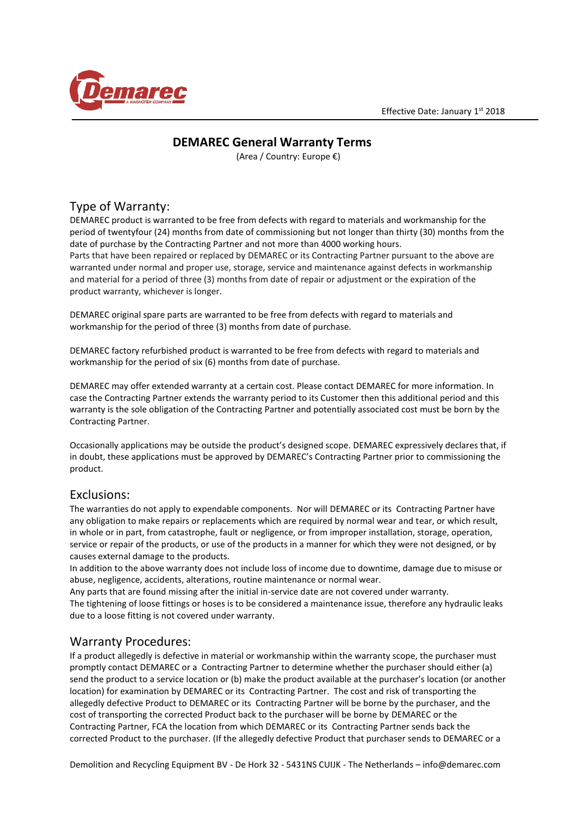

# **DEMAREC General Warranty Terms**

(Area / Country: Europe €)

# Type of Warranty:

DEMAREC product is warranted to be free from defects with regard to materials and workmanship for the period of twentyfour (24) months from date of commissioning but not longer than thirty (30) months from the date of purchase by the Contracting Partner and not more than 4000 working hours. Parts that have been repaired or replaced by DEMAREC or its Contracting Partner pursuant to the above are warranted under normal and proper use, storage, service and maintenance against defects in workmanship and material for a period of three (3) months from date of repair or adjustment or the expiration of the product warranty, whichever is longer.

DEMAREC original spare parts are warranted to be free from defects with regard to materials and workmanship for the period of three (3) months from date of purchase.

DEMAREC factory refurbished product is warranted to be free from defects with regard to materials and workmanship for the period of six (6) months from date of purchase.

DEMAREC may offer extended warranty at a certain cost. Please contact DEMAREC for more information. In case the Contracting Partner extends the warranty period to its Customer then this additional period and this warranty is the sole obligation of the Contracting Partner and potentially associated cost must be born by the Contracting Partner.

Occasionally applications may be outside the product's designed scope. DEMAREC expressively declares that, if in doubt, these applications must be approved by DEMAREC's Contracting Partner prior to commissioning the product.

### Exclusions:

The warranties do not apply to expendable components. Nor will DEMAREC or its Contracting Partner have any obligation to make repairs or replacements which are required by normal wear and tear, or which result, in whole or in part, from catastrophe, fault or negligence, or from improper installation, storage, operation, service or repair of the products, or use of the products in a manner for which they were not designed, or by causes external damage to the products.

In addition to the above warranty does not include loss of income due to downtime, damage due to misuse or abuse, negligence, accidents, alterations, routine maintenance or normal wear.

Any parts that are found missing after the initial in-service date are not covered under warranty.

The tightening of loose fittings or hoses is to be considered a maintenance issue, therefore any hydraulic leaks due to a loose fitting is not covered under warranty.

### Warranty Procedures:

If a product allegedly is defective in material or workmanship within the warranty scope, the purchaser must promptly contact DEMAREC or a Contracting Partner to determine whether the purchaser should either (a) send the product to a service location or (b) make the product available at the purchaser's location (or another location) for examination by DEMAREC or its Contracting Partner. The cost and risk of transporting the allegedly defective Product to DEMAREC or its Contracting Partner will be borne by the purchaser, and the cost of transporting the corrected Product back to the purchaser will be borne by DEMAREC or the Contracting Partner, FCA the location from which DEMAREC or its Contracting Partner sends back the corrected Product to the purchaser. (If the allegedly defective Product that purchaser sends to DEMAREC or a

Demolition and Recycling Equipment BV - De Hork 32 - 5431NS CUIJK - The Netherlands – info@demarec.com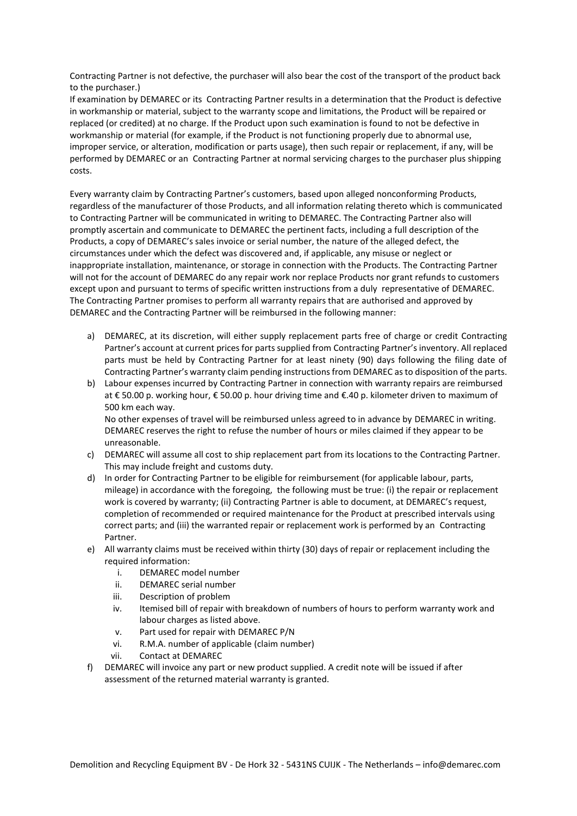Contracting Partner is not defective, the purchaser will also bear the cost of the transport of the product back to the purchaser.)

If examination by DEMAREC or its Contracting Partner results in a determination that the Product is defective in workmanship or material, subject to the warranty scope and limitations, the Product will be repaired or replaced (or credited) at no charge. If the Product upon such examination is found to not be defective in workmanship or material (for example, if the Product is not functioning properly due to abnormal use, improper service, or alteration, modification or parts usage), then such repair or replacement, if any, will be performed by DEMAREC or an Contracting Partner at normal servicing charges to the purchaser plus shipping costs.

Every warranty claim by Contracting Partner's customers, based upon alleged nonconforming Products, regardless of the manufacturer of those Products, and all information relating thereto which is communicated to Contracting Partner will be communicated in writing to DEMAREC. The Contracting Partner also will promptly ascertain and communicate to DEMAREC the pertinent facts, including a full description of the Products, a copy of DEMAREC's sales invoice or serial number, the nature of the alleged defect, the circumstances under which the defect was discovered and, if applicable, any misuse or neglect or inappropriate installation, maintenance, or storage in connection with the Products. The Contracting Partner will not for the account of DEMAREC do any repair work nor replace Products nor grant refunds to customers except upon and pursuant to terms of specific written instructions from a duly representative of DEMAREC. The Contracting Partner promises to perform all warranty repairs that are authorised and approved by DEMAREC and the Contracting Partner will be reimbursed in the following manner:

- a) DEMAREC, at its discretion, will either supply replacement parts free of charge or credit Contracting Partner's account at current prices for parts supplied from Contracting Partner's inventory. All replaced parts must be held by Contracting Partner for at least ninety (90) days following the filing date of Contracting Partner's warranty claim pending instructions from DEMAREC as to disposition of the parts.
- b) Labour expenses incurred by Contracting Partner in connection with warranty repairs are reimbursed at € 50.00 p. working hour, € 50.00 p. hour driving time and €.40 p. kilometer driven to maximum of 500 km each way. No other expenses of travel will be reimbursed unless agreed to in advance by DEMAREC in writing.

DEMAREC reserves the right to refuse the number of hours or miles claimed if they appear to be unreasonable.

- c) DEMAREC will assume all cost to ship replacement part from its locations to the Contracting Partner. This may include freight and customs duty.
- d) In order for Contracting Partner to be eligible for reimbursement (for applicable labour, parts, mileage) in accordance with the foregoing, the following must be true: (i) the repair or replacement work is covered by warranty; (ii) Contracting Partner is able to document, at DEMAREC's request, completion of recommended or required maintenance for the Product at prescribed intervals using correct parts; and (iii) the warranted repair or replacement work is performed by an Contracting Partner.
- e) All warranty claims must be received within thirty (30) days of repair or replacement including the required information:
	- i. DEMAREC model number
	- ii. DEMAREC serial number
	- iii. Description of problem
	- iv. Itemised bill of repair with breakdown of numbers of hours to perform warranty work and labour charges as listed above.
	- v. Part used for repair with DEMAREC P/N
	- vi. R.M.A. number of applicable (claim number)
	- vii. Contact at DEMAREC
- f) DEMAREC will invoice any part or new product supplied. A credit note will be issued if after assessment of the returned material warranty is granted.